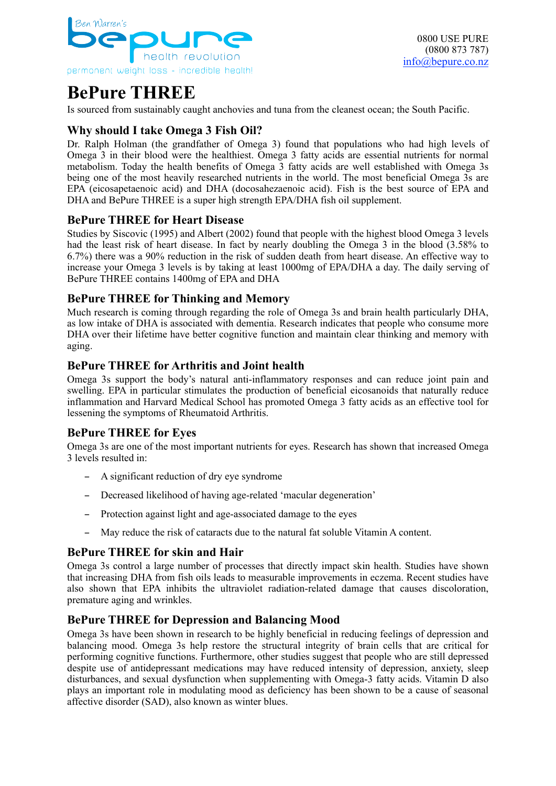

# **BePure THREE**

Is sourced from sustainably caught anchovies and tuna from the cleanest ocean; the South Pacific.

# **Why should I take Omega 3 Fish Oil?**

Dr. Ralph Holman (the grandfather of Omega 3) found that populations who had high levels of Omega 3 in their blood were the healthiest. Omega 3 fatty acids are essential nutrients for normal metabolism. Today the health benefits of Omega 3 fatty acids are well established with Omega 3s being one of the most heavily researched nutrients in the world. The most beneficial Omega 3s are EPA (eicosapetaenoic acid) and DHA (docosahezaenoic acid). Fish is the best source of EPA and DHA and BePure THREE is a super high strength EPA/DHA fish oil supplement.

## **BePure THREE for Heart Disease**

Studies by Siscovic (1995) and Albert (2002) found that people with the highest blood Omega 3 levels had the least risk of heart disease. In fact by nearly doubling the Omega 3 in the blood (3.58% to 6.7%) there was a 90% reduction in the risk of sudden death from heart disease. An effective way to increase your Omega 3 levels is by taking at least 1000mg of EPA/DHA a day. The daily serving of BePure THREE contains 1400mg of EPA and DHA

## **BePure THREE for Thinking and Memory**

Much research is coming through regarding the role of Omega 3s and brain health particularly DHA, as low intake of DHA is associated with dementia. Research indicates that people who consume more DHA over their lifetime have better cognitive function and maintain clear thinking and memory with aging.

## **BePure THREE for Arthritis and Joint health**

Omega 3s support the body's natural anti-inflammatory responses and can reduce joint pain and swelling. EPA in particular stimulates the production of beneficial eicosanoids that naturally reduce inflammation and Harvard Medical School has promoted Omega 3 fatty acids as an effective tool for lessening the symptoms of Rheumatoid Arthritis.

# **BePure THREE for Eyes**

Omega 3s are one of the most important nutrients for eyes. Research has shown that increased Omega 3 levels resulted in:

- A significant reduction of dry eye syndrome
- Decreased likelihood of having age-related 'macular degeneration'
- Protection against light and age-associated damage to the eyes
- May reduce the risk of cataracts due to the natural fat soluble Vitamin A content.

## **BePure THREE for skin and Hair**

Omega 3s control a large number of processes that directly impact skin health. Studies have shown that increasing DHA from fish oils leads to measurable improvements in eczema. Recent studies have also shown that EPA inhibits the ultraviolet radiation-related damage that causes discoloration, premature aging and wrinkles.

## **BePure THREE for Depression and Balancing Mood**

Omega 3s have been shown in research to be highly beneficial in reducing feelings of depression and balancing mood. Omega 3s help restore the structural integrity of brain cells that are critical for performing cognitive functions. Furthermore, other studies suggest that people who are still depressed despite use of antidepressant medications may have reduced intensity of depression, anxiety, sleep disturbances, and sexual dysfunction when supplementing with Omega-3 fatty acids. Vitamin D also plays an important role in modulating mood as deficiency has been shown to be a cause of seasonal affective disorder (SAD), also known as winter blues.